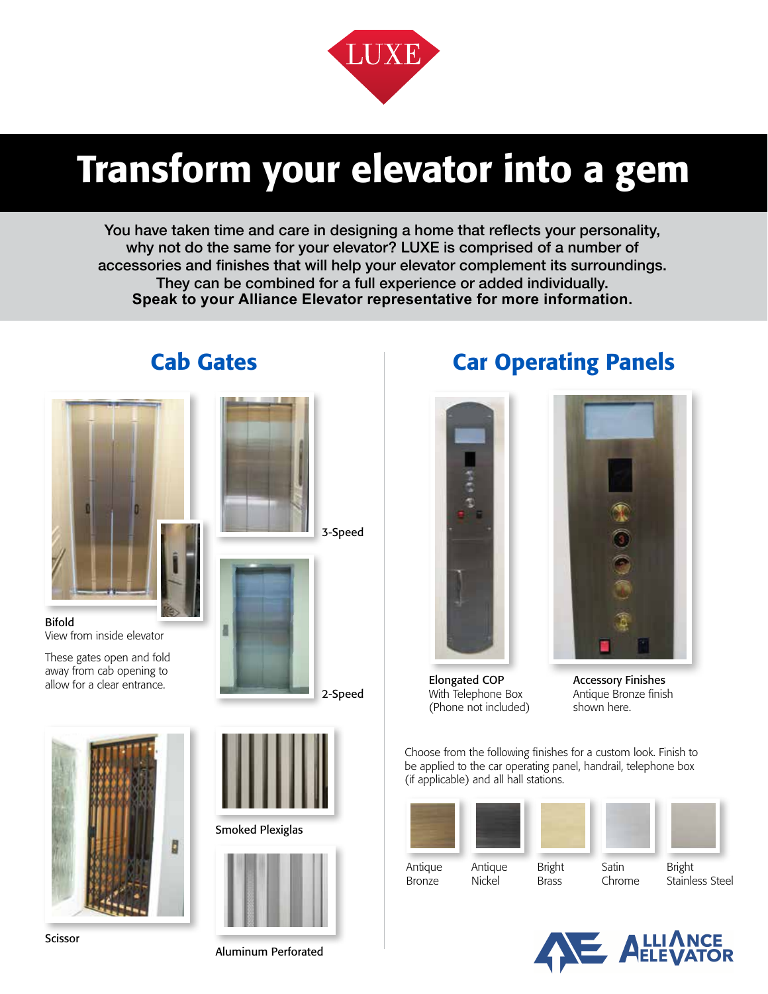

# Transform your elevator into a gem

You have taken time and care in designing a home that reflects your personality, why not do the same for your elevator? LUXE is comprised of a number of accessories and finishes that will help your elevator complement its surroundings. They can be combined for a full experience or added individually. **Speak to your Alliance Elevator representative for more information.**



Bifold View from inside elevator

These gates open and fold away from cab opening to



Scissor







Aluminum Perforated

#### **Cab Gates The Car Operating Panels**





Elongated COP With Telephone Box (Phone not included)

Antique Bronze finish shown here.

Choose from the following finishes for a custom look. Finish to be applied to the car operating panel, handrail, telephone box (if applicable) and all hall stations.

| Antique       | Antique | <b>Bright</b> | Satin  | <b>Bright</b>  |
|---------------|---------|---------------|--------|----------------|
| <b>Bronze</b> | Nickel  | Brass         | Chrome | Stainless Stee |



Brass

Stainless Steel